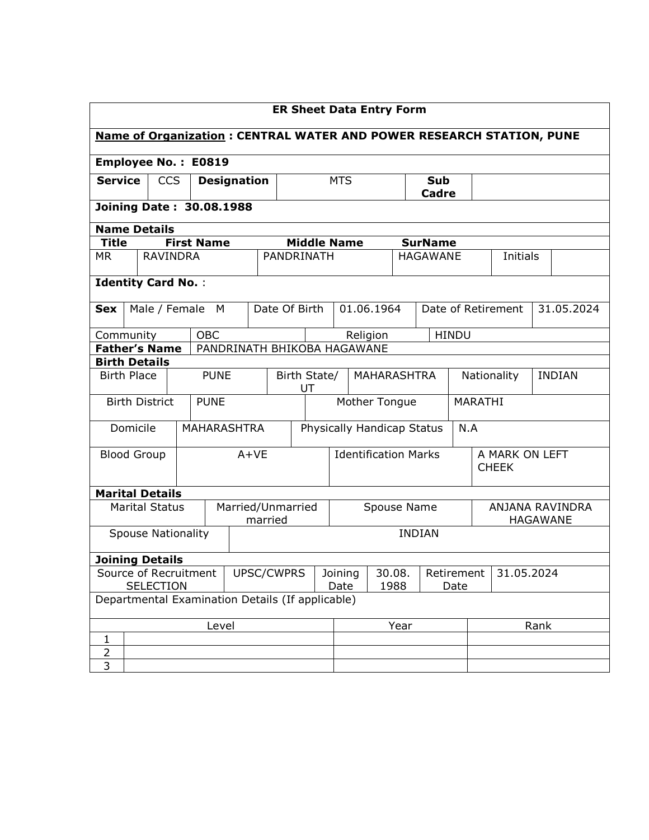|                                                    | <b>ER Sheet Data Entry Form</b>                                              |                       |  |                                                 |                             |                             |                            |                                 |            |  |                            |              |                                    |               |  |            |
|----------------------------------------------------|------------------------------------------------------------------------------|-----------------------|--|-------------------------------------------------|-----------------------------|-----------------------------|----------------------------|---------------------------------|------------|--|----------------------------|--------------|------------------------------------|---------------|--|------------|
|                                                    | <b>Name of Organization : CENTRAL WATER AND POWER RESEARCH STATION, PUNE</b> |                       |  |                                                 |                             |                             |                            |                                 |            |  |                            |              |                                    |               |  |            |
|                                                    |                                                                              |                       |  | <b>Employee No.: E0819</b>                      |                             |                             |                            |                                 |            |  |                            |              |                                    |               |  |            |
| <b>CCS</b><br><b>Service</b><br><b>Designation</b> |                                                                              |                       |  |                                                 | <b>MTS</b>                  |                             |                            | <b>Sub</b><br>Cadre             |            |  |                            |              |                                    |               |  |            |
|                                                    |                                                                              |                       |  | <b>Joining Date: 30.08.1988</b>                 |                             |                             |                            |                                 |            |  |                            |              |                                    |               |  |            |
| <b>Name Details</b>                                |                                                                              |                       |  |                                                 |                             |                             |                            |                                 |            |  |                            |              |                                    |               |  |            |
| <b>Title</b>                                       |                                                                              |                       |  | <b>First Name</b>                               |                             |                             | <b>Middle Name</b>         |                                 |            |  | <b>SurName</b>             |              |                                    |               |  |            |
| <b>MR</b>                                          |                                                                              | <b>RAVINDRA</b>       |  |                                                 |                             | PANDRINATH                  |                            |                                 |            |  | <b>HAGAWANE</b>            |              |                                    | Initials      |  |            |
| <b>Identity Card No.:</b>                          |                                                                              |                       |  |                                                 |                             |                             |                            |                                 |            |  |                            |              |                                    |               |  |            |
| <b>Sex</b>                                         |                                                                              |                       |  | Male / Female M                                 |                             | Date Of Birth               |                            |                                 | 01.06.1964 |  |                            |              | Date of Retirement                 |               |  | 31.05.2024 |
| Community                                          |                                                                              |                       |  | OBC                                             |                             |                             |                            |                                 | Religion   |  |                            | <b>HINDU</b> |                                    |               |  |            |
| <b>Father's Name</b>                               |                                                                              |                       |  |                                                 | PANDRINATH BHIKOBA HAGAWANE |                             |                            |                                 |            |  |                            |              |                                    |               |  |            |
| <b>Birth Details</b>                               |                                                                              |                       |  |                                                 |                             |                             |                            |                                 |            |  |                            |              |                                    |               |  |            |
| <b>Birth Place</b>                                 |                                                                              |                       |  | <b>PUNE</b>                                     |                             | Birth State/<br>UT          |                            |                                 |            |  | MAHARASHTRA<br>Nationality |              |                                    | <b>INDIAN</b> |  |            |
|                                                    |                                                                              | <b>Birth District</b> |  | <b>PUNE</b>                                     |                             |                             | Mother Tongue              |                                 |            |  |                            |              | MARATHI                            |               |  |            |
|                                                    | Domicile                                                                     |                       |  |                                                 | <b>MAHARASHTRA</b>          |                             | Physically Handicap Status |                                 |            |  | N.A                        |              |                                    |               |  |            |
| <b>Blood Group</b>                                 |                                                                              |                       |  |                                                 | $A+VE$                      | <b>Identification Marks</b> |                            |                                 |            |  |                            |              | A MARK ON LEFT<br><b>CHEEK</b>     |               |  |            |
| <b>Marital Details</b>                             |                                                                              |                       |  |                                                 |                             |                             |                            |                                 |            |  |                            |              |                                    |               |  |            |
|                                                    |                                                                              | <b>Marital Status</b> |  |                                                 | Married/Unmarried           | married                     |                            | Spouse Name                     |            |  |                            |              | ANJANA RAVINDRA<br><b>HAGAWANE</b> |               |  |            |
| <b>Spouse Nationality</b>                          |                                                                              |                       |  |                                                 |                             | <b>INDIAN</b>               |                            |                                 |            |  |                            |              |                                    |               |  |            |
| <b>Joining Details</b>                             |                                                                              |                       |  |                                                 |                             |                             |                            |                                 |            |  |                            |              |                                    |               |  |            |
| Source of Recruitment<br><b>SELECTION</b>          |                                                                              |                       |  | UPSC/CWPRS<br>30.08.<br>Joining<br>1988<br>Date |                             |                             |                            | Retirement   31.05.2024<br>Date |            |  |                            |              |                                    |               |  |            |
|                                                    | Departmental Examination Details (If applicable)                             |                       |  |                                                 |                             |                             |                            |                                 |            |  |                            |              |                                    |               |  |            |
| Level                                              |                                                                              |                       |  |                                                 |                             |                             |                            | Year                            |            |  |                            |              | Rank                               |               |  |            |
| $\mathbf{1}$                                       |                                                                              |                       |  |                                                 |                             |                             |                            |                                 |            |  |                            |              |                                    |               |  |            |
| $\overline{2}$                                     |                                                                              |                       |  |                                                 |                             |                             |                            |                                 |            |  |                            |              |                                    |               |  |            |
| $\overline{3}$                                     |                                                                              |                       |  |                                                 |                             |                             |                            |                                 |            |  |                            |              |                                    |               |  |            |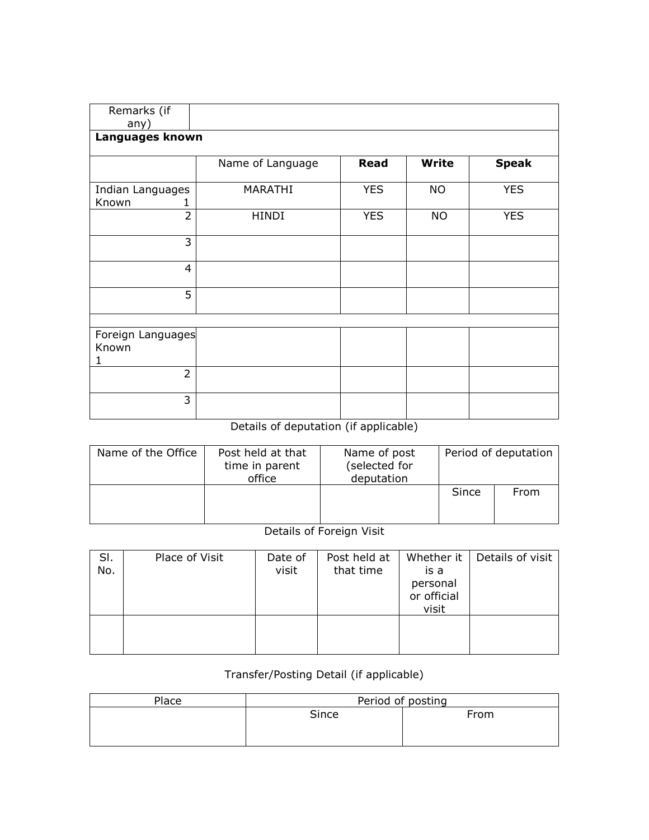| Remarks (if<br>any)             |                  |            |           |              |
|---------------------------------|------------------|------------|-----------|--------------|
| Languages known                 |                  |            |           |              |
|                                 | Name of Language | Read       | Write     | <b>Speak</b> |
| Indian Languages<br>Known       | MARATHI          | <b>YES</b> | <b>NO</b> | <b>YES</b>   |
| $\overline{2}$                  | <b>HINDI</b>     | <b>YES</b> | <b>NO</b> | <b>YES</b>   |
| 3                               |                  |            |           |              |
| 4                               |                  |            |           |              |
| 5                               |                  |            |           |              |
| Foreign Languages<br>Known<br>1 |                  |            |           |              |
| $\overline{2}$                  |                  |            |           |              |
| 3                               |                  |            |           |              |

## Details of deputation (if applicable)

| Name of the Office | Post held at that<br>time in parent<br>office | Name of post<br>(selected for<br>deputation |       | Period of deputation |
|--------------------|-----------------------------------------------|---------------------------------------------|-------|----------------------|
|                    |                                               |                                             | Since | From                 |

## Details of Foreign Visit

| SI.<br>No. | Place of Visit | Date of<br>visit | Post held at<br>that time | Whether it<br>is a<br>personal<br>or official<br>visit | Details of visit |
|------------|----------------|------------------|---------------------------|--------------------------------------------------------|------------------|
|            |                |                  |                           |                                                        |                  |

## Transfer/Posting Detail (if applicable)

| Place | Period of posting |      |  |  |  |  |
|-------|-------------------|------|--|--|--|--|
|       | Since             | From |  |  |  |  |
|       |                   |      |  |  |  |  |
|       |                   |      |  |  |  |  |